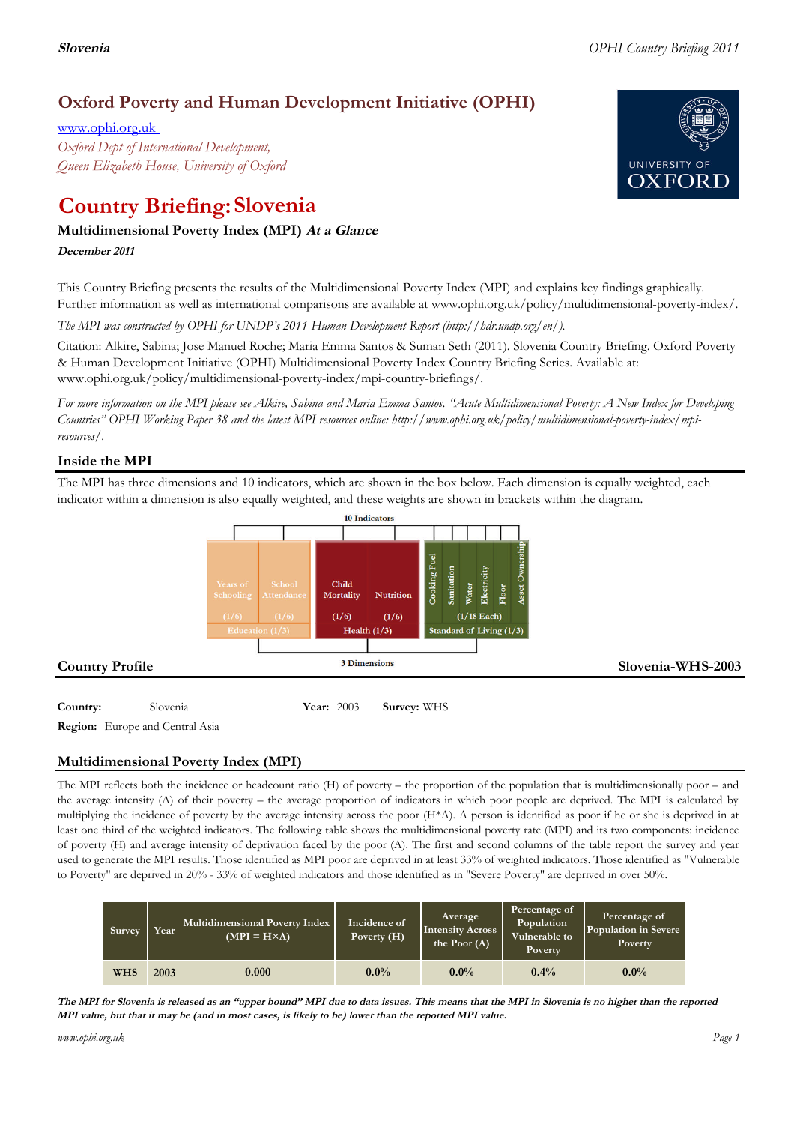# **Oxford Poverty and Human Development Initiative (OPHI)**

www.ophi.org.uk *Oxford Dept of International Development, Queen Elizabeth House, University of Oxford*

# **Country Briefing: Slovenia**

## **Multidimensional Poverty Index (MPI) At <sup>a</sup> Glance**

**December <sup>2011</sup>**

This Country Briefing presents the results of the Multidimensional Poverty Index (MPI) and explains key findings graphically. Further information as well as international comparisons are available at www.ophi.org.uk/policy/multidimensional-poverty-index/.

*The MPI was constructed by OPHI for UNDP's 2011 Human Development Report (http://hdr.undp.org/en/).*

Citation: Alkire, Sabina; Jose Manuel Roche; Maria Emma Santos & Suman Seth (2011). Slovenia Country Briefing. Oxford Poverty & Human Development Initiative (OPHI) Multidimensional Poverty Index Country Briefing Series. Available at: www.ophi.org.uk/policy/multidimensional-poverty-index/mpi-country-briefings/.

*For more information on the MPI please see Alkire, Sabina and Maria Emma Santos. "Acute Multidimensional Poverty: A New Index for Developing Countries" OPHI Working Paper 38 and the latest MPI resources online: http://www.ophi.org.uk/policy/multidimensional-poverty-index/mpiresources/.*

### **Inside the MPI**

The MPI has three dimensions and 10 indicators, which are shown in the box below. Each dimension is equally weighted, each indicator within a dimension is also equally weighted, and these weights are shown in brackets within the diagram.



**Region:** Europe and Central Asia

### **Multidimensional Poverty Index (MPI)**

The MPI reflects both the incidence or headcount ratio (H) of poverty – the proportion of the population that is multidimensionally poor – and the average intensity (A) of their poverty – the average proportion of indicators in which poor people are deprived. The MPI is calculated by multiplying the incidence of poverty by the average intensity across the poor (H\*A). A person is identified as poor if he or she is deprived in at least one third of the weighted indicators. The following table shows the multidimensional poverty rate (MPI) and its two components: incidence of poverty (H) and average intensity of deprivation faced by the poor (A). The first and second columns of the table report the survey and year used to generate the MPI results. Those identified as MPI poor are deprived in at least 33% of weighted indicators. Those identified as "Vulnerable to Poverty" are deprived in 20% - 33% of weighted indicators and those identified as in "Severe Poverty" are deprived in over 50%.

| Survey     | Year | Multidimensional Poverty Index<br>$(MPI = H \times A)$ | Incidence of<br>Poverty (H) | Average<br><b>Intensity Across</b><br>the Poor $(A)$ | Percentage of<br>Population<br>Vulnerable to<br>Poverty | Percentage of<br>Population in Severe<br>Poverty |
|------------|------|--------------------------------------------------------|-----------------------------|------------------------------------------------------|---------------------------------------------------------|--------------------------------------------------|
| <b>WHS</b> | 2003 | 0.000                                                  | $0.0\%$                     | $0.0\%$                                              | $0.4\%$                                                 | $0.0\%$                                          |

The MPI for Slovenia is released as an "upper bound" MPI due to data issues. This means that the MPI in Slovenia is no higher than the reported MPI value, but that it may be (and in most cases, is likely to be) lower than the reported MPI value.